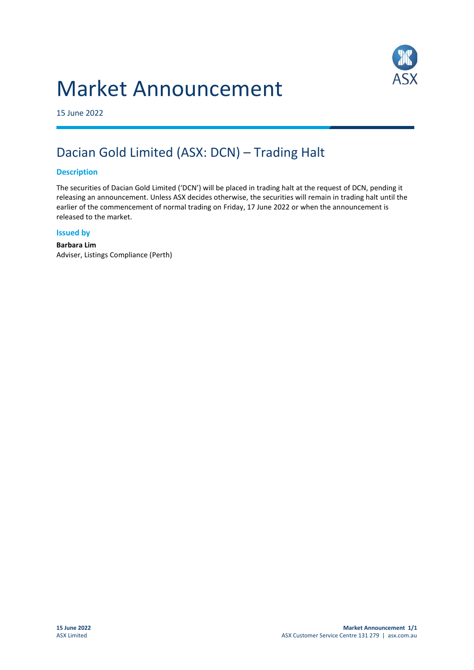# Market Announcement



15 June 2022

## Dacian Gold Limited (ASX: DCN) – Trading Halt

#### **Description**

The securities of Dacian Gold Limited ('DCN') will be placed in trading halt at the request of DCN, pending it releasing an announcement. Unless ASX decides otherwise, the securities will remain in trading halt until the earlier of the commencement of normal trading on Friday, 17 June 2022 or when the announcement is released to the market.

#### **Issued by**

**Barbara Lim** Adviser, Listings Compliance (Perth)